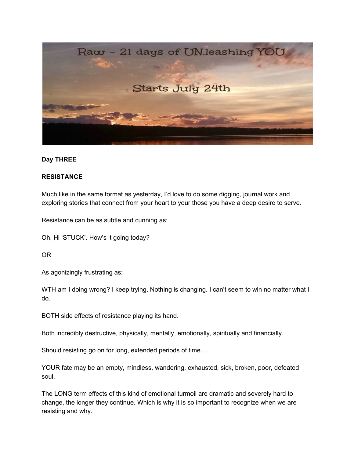

## **Day THREE**

## **RESISTANCE**

Much like in the same format as yesterday, I'd love to do some digging, journal work and exploring stories that connect from your heart to your those you have a deep desire to serve.

Resistance can be as subtle and cunning as:

Oh, Hi 'STUCK'. How's it going today?

OR

As agonizingly frustrating as:

WTH am I doing wrong? I keep trying. Nothing is changing. I can't seem to win no matter what I do.

BOTH side effects of resistance playing its hand.

Both incredibly destructive, physically, mentally, emotionally, spiritually and financially.

Should resisting go on for long, extended periods of time….

YOUR fate may be an empty, mindless, wandering, exhausted, sick, broken, poor, defeated soul.

The LONG term effects of this kind of emotional turmoil are dramatic and severely hard to change, the longer they continue. Which is why it is so important to recognize when we are resisting and why.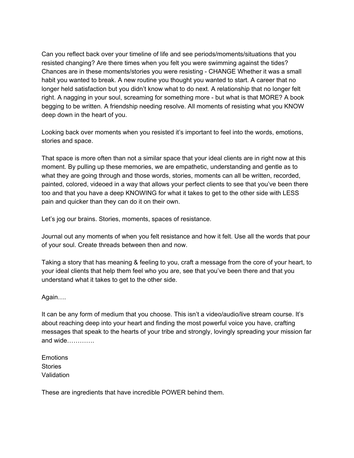Can you reflect back over your timeline of life and see periods/moments/situations that you resisted changing? Are there times when you felt you were swimming against the tides? Chances are in these moments/stories you were resisting - CHANGE Whether it was a small habit you wanted to break. A new routine you thought you wanted to start. A career that no longer held satisfaction but you didn't know what to do next. A relationship that no longer felt right. A nagging in your soul, screaming for something more - but what is that MORE? A book begging to be written. A friendship needing resolve. All moments of resisting what you KNOW deep down in the heart of you.

Looking back over moments when you resisted it's important to feel into the words, emotions, stories and space.

That space is more often than not a similar space that your ideal clients are in right now at this moment. By pulling up these memories, we are empathetic, understanding and gentle as to what they are going through and those words, stories, moments can all be written, recorded, painted, colored, videoed in a way that allows your perfect clients to see that you've been there too and that you have a deep KNOWING for what it takes to get to the other side with LESS pain and quicker than they can do it on their own.

Let's jog our brains. Stories, moments, spaces of resistance.

Journal out any moments of when you felt resistance and how it felt. Use all the words that pour of your soul. Create threads between then and now.

Taking a story that has meaning & feeling to you, craft a message from the core of your heart, to your ideal clients that help them feel who you are, see that you've been there and that you understand what it takes to get to the other side.

Again….

It can be any form of medium that you choose. This isn't a video/audio/live stream course. It's about reaching deep into your heart and finding the most powerful voice you have, crafting messages that speak to the hearts of your tribe and strongly, lovingly spreading your mission far and wide………….

Emotions **Stories** Validation

These are ingredients that have incredible POWER behind them.